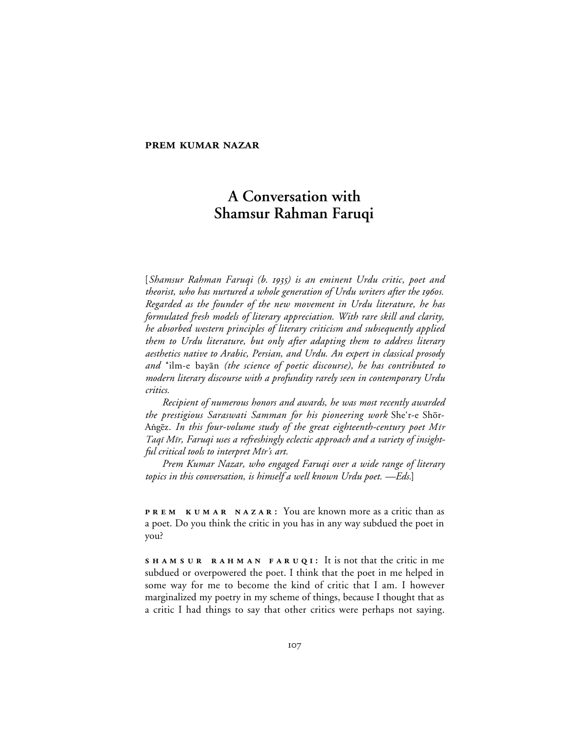## **PREM KUMAR NAZAR**

# **A Conversation with Shamsur Rahman Faruqi**

[*Shamsur Rahman Faruqi (b. ) is an eminent Urdu critic, poet and theorist, who has nurtured a whole generation of Urdu writers after the 1960s. Regarded as the founder of the new movement in Urdu literature, he has formulated fresh models of literary appreciation. With rare skill and clarity, he absorbed western principles of literary criticism and subsequently applied them to Urdu literature, but only after adapting them to address literary aesthetics native to Arabic, Persian, and Urdu. An expert in classical prosody and* ''ilm-e bay≥n *(the science of poetic discourse), he has contributed to modern literary discourse with a profundity rarely seen in contemporary Urdu critics.*

*Recipient of numerous honors and awards, he was most recently awarded the prestigious Saraswati Samman for his pioneering work* She'r-e Shår-Aṅgēz. *In this four-volume study of the great eighteenth-century poet Mīr* Taqī Mīr, Faruqi uses a refreshingly eclectic approach and a variety of insightful critical tools to interpret Mir's art.

*Prem Kumar Nazar, who engaged Faruqi over a wide range of literary topics in this conversation, is himself a well known Urdu poet. —Eds.*]

**PREM KUMAR NAZAR:** You are known more as a critic than as a poet. Do you think the critic in you has in any way subdued the poet in you?

**SHAMSUR RAHMAN FARUQI:** It is not that the critic in me subdued or overpowered the poet. I think that the poet in me helped in some way for me to become the kind of critic that I am. I however marginalized my poetry in my scheme of things, because I thought that as a critic I had things to say that other critics were perhaps not saying.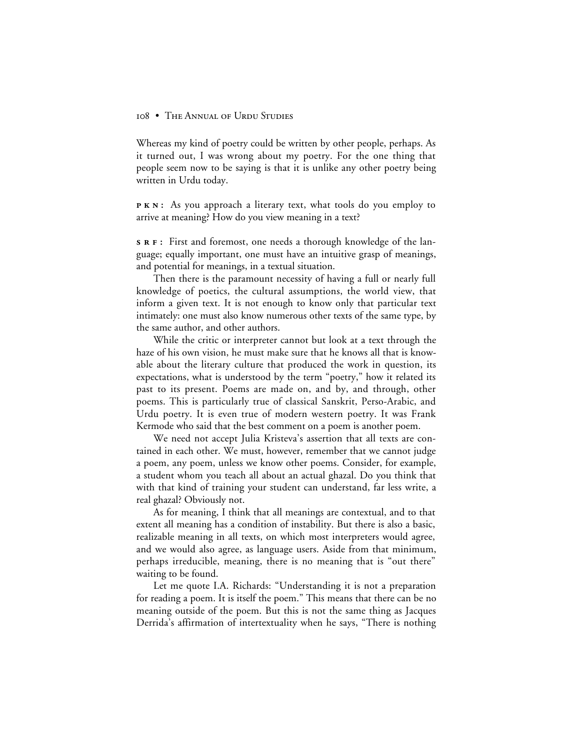Whereas my kind of poetry could be written by other people, perhaps. As it turned out, I was wrong about my poetry. For the one thing that people seem now to be saying is that it is unlike any other poetry being written in Urdu today.

**PKN:** As you approach a literary text, what tools do you employ to arrive at meaning? How do you view meaning in a text?

**s R F**: First and foremost, one needs a thorough knowledge of the language; equally important, one must have an intuitive grasp of meanings, and potential for meanings, in a textual situation.

Then there is the paramount necessity of having a full or nearly full knowledge of poetics, the cultural assumptions, the world view, that inform a given text. It is not enough to know only that particular text intimately: one must also know numerous other texts of the same type, by the same author, and other authors.

While the critic or interpreter cannot but look at a text through the haze of his own vision, he must make sure that he knows all that is knowable about the literary culture that produced the work in question, its expectations, what is understood by the term "poetry," how it related its past to its present. Poems are made on, and by, and through, other poems. This is particularly true of classical Sanskrit, Perso-Arabic, and Urdu poetry. It is even true of modern western poetry. It was Frank Kermode who said that the best comment on a poem is another poem.

We need not accept Julia Kristeva's assertion that all texts are contained in each other. We must, however, remember that we cannot judge a poem, any poem, unless we know other poems. Consider, for example, a student whom you teach all about an actual ghazal. Do you think that with that kind of training your student can understand, far less write, a real ghazal? Obviously not.

As for meaning, I think that all meanings are contextual, and to that extent all meaning has a condition of instability. But there is also a basic, realizable meaning in all texts, on which most interpreters would agree, and we would also agree, as language users. Aside from that minimum, perhaps irreducible, meaning, there is no meaning that is "out there" waiting to be found.

Let me quote I.A. Richards: "Understanding it is not a preparation for reading a poem. It is itself the poem." This means that there can be no meaning outside of the poem. But this is not the same thing as Jacques Derrida's affirmation of intertextuality when he says, "There is nothing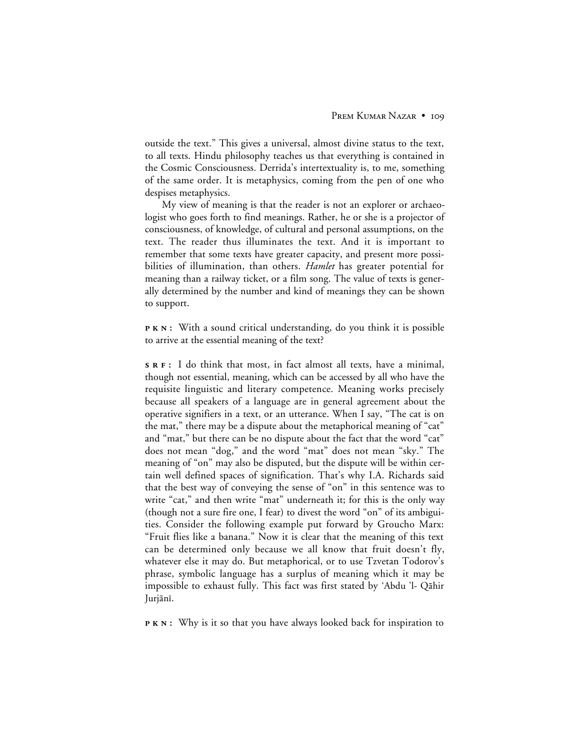outside the text." This gives a universal, almost divine status to the text, to all texts. Hindu philosophy teaches us that everything is contained in the Cosmic Consciousness. Derrida's intertextuality is, to me, something of the same order. It is metaphysics, coming from the pen of one who despises metaphysics.

My view of meaning is that the reader is not an explorer or archaeologist who goes forth to find meanings. Rather, he or she is a projector of consciousness, of knowledge, of cultural and personal assumptions, on the text. The reader thus illuminates the text. And it is important to remember that some texts have greater capacity, and present more possibilities of illumination, than others. *Hamlet* has greater potential for meaning than a railway ticket, or a film song. The value of texts is generally determined by the number and kind of meanings they can be shown to support.

**PKN:** With a sound critical understanding, do you think it is possible to arrive at the essential meaning of the text?

**:** I do think that most, in fact almost all texts, have a minimal, though not essential, meaning, which can be accessed by all who have the requisite linguistic and literary competence. Meaning works precisely because all speakers of a language are in general agreement about the operative signifiers in a text, or an utterance. When I say, "The cat is on the mat," there may be a dispute about the metaphorical meaning of "cat" and "mat," but there can be no dispute about the fact that the word "cat" does not mean "dog," and the word "mat" does not mean "sky." The meaning of "on" may also be disputed, but the dispute will be within certain well defined spaces of signification. That's why I.A. Richards said that the best way of conveying the sense of "on" in this sentence was to write "cat," and then write "mat" underneath it; for this is the only way (though not a sure fire one, I fear) to divest the word "on" of its ambiguities. Consider the following example put forward by Groucho Marx: "Fruit flies like a banana." Now it is clear that the meaning of this text can be determined only because we all know that fruit doesn't fly, whatever else it may do. But metaphorical, or to use Tzvetan Todorov's phrase, symbolic language has a surplus of meaning which it may be impossible to exhaust fully. This fact was first stated by 'Abdu 'l- Qāhir Jurjānī.

**PKN:** Why is it so that you have always looked back for inspiration to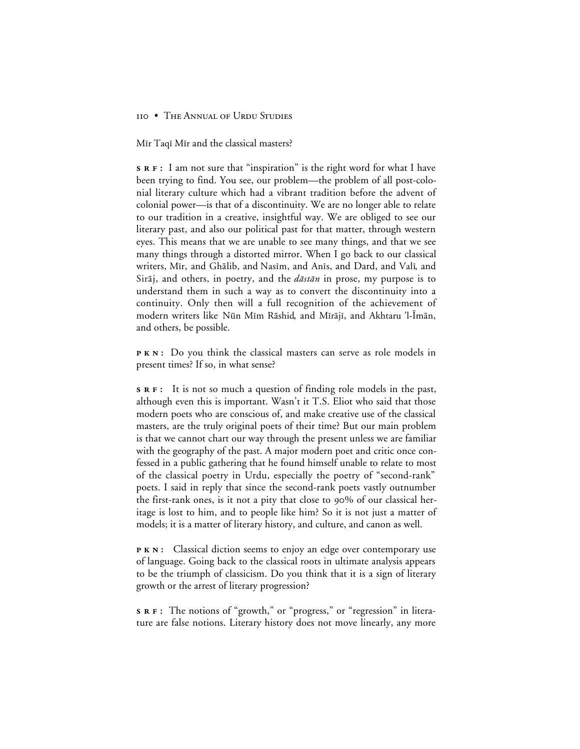Mir Taqi Mir and the classical masters?

**:** I am not sure that "inspiration" is the right word for what I have been trying to find. You see, our problem—the problem of all post-colonial literary culture which had a vibrant tradition before the advent of colonial power—is that of a discontinuity. We are no longer able to relate to our tradition in a creative, insightful way. We are obliged to see our literary past, and also our political past for that matter, through western eyes. This means that we are unable to see many things, and that we see many things through a distorted mirror. When I go back to our classical writers, Mīr, and Ghālib, and Nasīm, and Anīs, and Dard, and Valī, and Sirāj, and others, in poetry, and the  $d\bar{a}$ st $\bar{a}n$  in prose, my purpose is to understand them in such a way as to convert the discontinuity into a continuity. Only then will a full recognition of the achievement of modern writers like Nūn Mīm Rāshid, and Mīrājī, and Akhtaru 'l-Īmān, and others, be possible.

**PKN:** Do you think the classical masters can serve as role models in present times? If so, in what sense?

**:** It is not so much a question of finding role models in the past, although even this is important. Wasn't it T.S. Eliot who said that those modern poets who are conscious of, and make creative use of the classical masters, are the truly original poets of their time? But our main problem is that we cannot chart our way through the present unless we are familiar with the geography of the past. A major modern poet and critic once confessed in a public gathering that he found himself unable to relate to most of the classical poetry in Urdu, especially the poetry of "second-rank" poets. I said in reply that since the second-rank poets vastly outnumber the first-rank ones, is it not a pity that close to  $90\%$  of our classical heritage is lost to him, and to people like him? So it is not just a matter of models; it is a matter of literary history, and culture, and canon as well.

**PKN:** Classical diction seems to enjoy an edge over contemporary use of language. Going back to the classical roots in ultimate analysis appears to be the triumph of classicism. Do you think that it is a sign of literary growth or the arrest of literary progression?

**:** The notions of "growth," or "progress," or "regression" in literature are false notions. Literary history does not move linearly, any more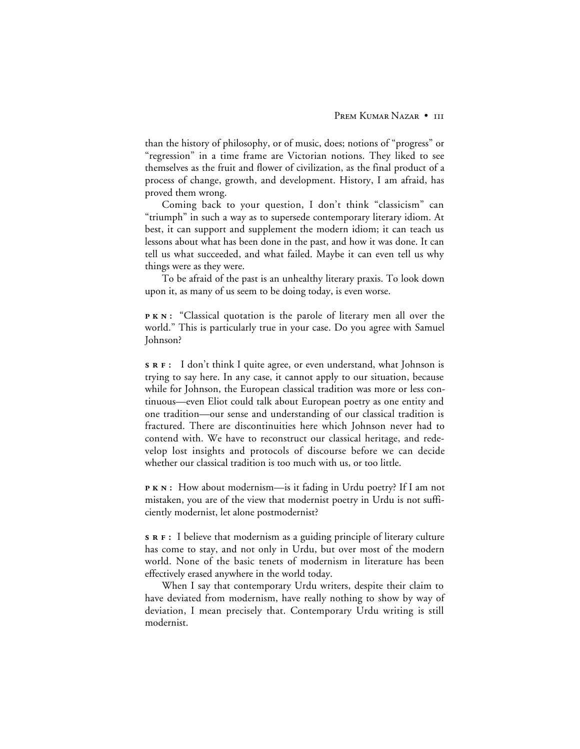than the history of philosophy, or of music, does; notions of "progress" or "regression" in a time frame are Victorian notions. They liked to see themselves as the fruit and flower of civilization, as the final product of a process of change, growth, and development. History, I am afraid, has proved them wrong.

Coming back to your question, I don't think "classicism" can "triumph" in such a way as to supersede contemporary literary idiom. At best, it can support and supplement the modern idiom; it can teach us lessons about what has been done in the past, and how it was done. It can tell us what succeeded, and what failed. Maybe it can even tell us why things were as they were.

To be afraid of the past is an unhealthy literary praxis. To look down upon it, as many of us seem to be doing today, is even worse.

**PKN:** "Classical quotation is the parole of literary men all over the world." This is particularly true in your case. Do you agree with Samuel Johnson?

**:** I don't think I quite agree, or even understand, what Johnson is trying to say here. In any case, it cannot apply to our situation, because while for Johnson, the European classical tradition was more or less continuous—even Eliot could talk about European poetry as one entity and one tradition—our sense and understanding of our classical tradition is fractured. There are discontinuities here which Johnson never had to contend with. We have to reconstruct our classical heritage, and redevelop lost insights and protocols of discourse before we can decide whether our classical tradition is too much with us, or too little.

**PKN:** How about modernism—is it fading in Urdu poetry? If I am not mistaken, you are of the view that modernist poetry in Urdu is not sufficiently modernist, let alone postmodernist?

**:** I believe that modernism as a guiding principle of literary culture has come to stay, and not only in Urdu, but over most of the modern world. None of the basic tenets of modernism in literature has been effectively erased anywhere in the world today.

When I say that contemporary Urdu writers, despite their claim to have deviated from modernism, have really nothing to show by way of deviation, I mean precisely that. Contemporary Urdu writing is still modernist.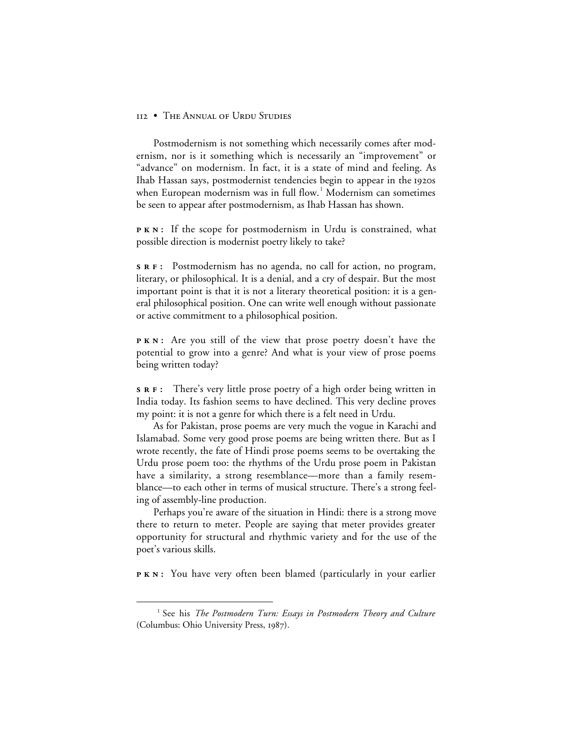Postmodernism is not something which necessarily comes after modernism, nor is it something which is necessarily an "improvement" or "advance" on modernism. In fact, it is a state of mind and feeling. As Ihab Hassan says, postmodernist tendencies begin to appear in the 1920s when European modernism was in full flow.<sup>1</sup> Modernism can sometimes be seen to appear after postmodernism, as Ihab Hassan has shown.

**PKN:** If the scope for postmodernism in Urdu is constrained, what possible direction is modernist poetry likely to take?

**:** Postmodernism has no agenda, no call for action, no program, literary, or philosophical. It is a denial, and a cry of despair. But the most important point is that it is not a literary theoretical position: it is a general philosophical position. One can write well enough without passionate or active commitment to a philosophical position.

**PKN:** Are you still of the view that prose poetry doesn't have the potential to grow into a genre? And what is your view of prose poems being written today?

**:** There's very little prose poetry of a high order being written in India today. Its fashion seems to have declined. This very decline proves my point: it is not a genre for which there is a felt need in Urdu.

As for Pakistan, prose poems are very much the vogue in Karachi and Islamabad. Some very good prose poems are being written there. But as I wrote recently, the fate of Hindi prose poems seems to be overtaking the Urdu prose poem too: the rhythms of the Urdu prose poem in Pakistan have a similarity, a strong resemblance—more than a family resemblance—to each other in terms of musical structure. There's a strong feeling of assembly-line production.

Perhaps you're aware of the situation in Hindi: there is a strong move there to return to meter. People are saying that meter provides greater opportunity for structural and rhythmic variety and for the use of the poet's various skills.

**PKN:** You have very often been blamed (particularly in your earlier

 <sup>1</sup> See his *The Postmodern Turn: Essays in Postmodern Theory and Culture* (Columbus: Ohio University Press, 1987).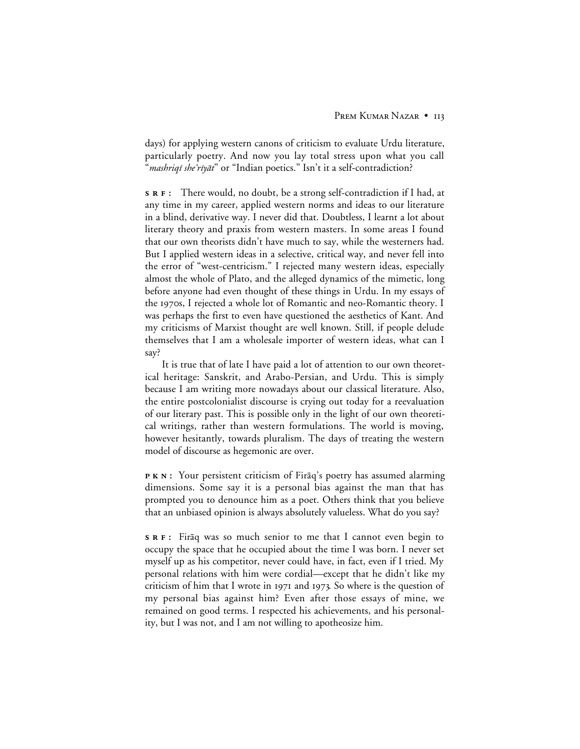days) for applying western canons of criticism to evaluate Urdu literature, particularly poetry. And now you lay total stress upon what you call "*mashriqī she'rīyāt*" or "Indian poetics." Isn't it a self-contradiction?

**:** There would, no doubt, be a strong self-contradiction if I had, at any time in my career, applied western norms and ideas to our literature in a blind, derivative way. I never did that. Doubtless, I learnt a lot about literary theory and praxis from western masters. In some areas I found that our own theorists didn't have much to say, while the westerners had. But I applied western ideas in a selective, critical way, and never fell into the error of "west-centricism." I rejected many western ideas, especially almost the whole of Plato, and the alleged dynamics of the mimetic, long before anyone had even thought of these things in Urdu. In my essays of the 1970s, I rejected a whole lot of Romantic and neo-Romantic theory. I was perhaps the first to even have questioned the aesthetics of Kant. And my criticisms of Marxist thought are well known. Still, if people delude themselves that I am a wholesale importer of western ideas, what can I say?

It is true that of late I have paid a lot of attention to our own theoretical heritage: Sanskrit, and Arabo-Persian, and Urdu. This is simply because I am writing more nowadays about our classical literature. Also, the entire postcolonialist discourse is crying out today for a reevaluation of our literary past. This is possible only in the light of our own theoretical writings, rather than western formulations. The world is moving, however hesitantly, towards pluralism. The days of treating the western model of discourse as hegemonic are over.

**PKN:** Your persistent criticism of Firaq's poetry has assumed alarming dimensions. Some say it is a personal bias against the man that has prompted you to denounce him as a poet. Others think that you believe that an unbiased opinion is always absolutely valueless. What do you say?

**s R F**: Firaq was so much senior to me that I cannot even begin to occupy the space that he occupied about the time I was born. I never set myself up as his competitor, never could have, in fact, even if I tried. My personal relations with him were cordial—except that he didn't like my criticism of him that I wrote in  $1971$  and  $1973$ . So where is the question of my personal bias against him? Even after those essays of mine, we remained on good terms. I respected his achievements, and his personality, but I was not, and I am not willing to apotheosize him.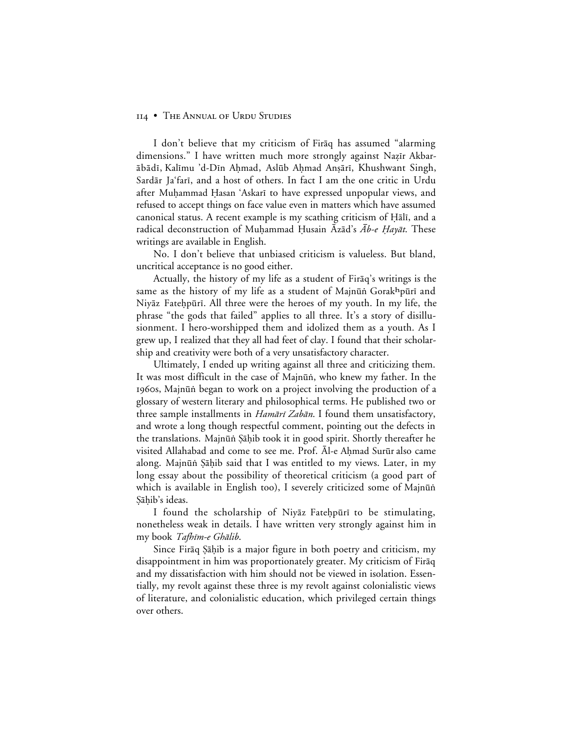I don't believe that my criticism of Firaq has assumed "alarming dimensions." I have written much more strongly against Nazīr Akbar-≥b≥dµ, Kalµmu 'd-Dµn A√mad, Asl∑b A√mad AnΩ≥rµ, Khushwant Singh, Sardār Ja'farī, and a host of others. In fact I am the one critic in Urdu after Muḥammad Ḥasan 'Askarī to have expressed unpopular views, and refused to accept things on face value even in matters which have assumed canonical status. A recent example is my scathing criticism of Hali, and a radical deconstruction of Muḥammad Ḥusain Āzād's  $\bar{A}b$ -e Hayāt. These writings are available in English.

No. I don't believe that unbiased criticism is valueless. But bland, uncritical acceptance is no good either.

Actually, the history of my life as a student of Firaq's writings is the same as the history of my life as a student of Majnūṅ Gorak<sup>h</sup>pūrī and Niyāz Fateḥpūrī. All three were the heroes of my youth. In my life, the phrase "the gods that failed" applies to all three. It's a story of disillusionment. I hero-worshipped them and idolized them as a youth. As I grew up, I realized that they all had feet of clay. I found that their scholarship and creativity were both of a very unsatisfactory character.

Ultimately, I ended up writing against all three and criticizing them. It was most difficult in the case of Majnūṅ, who knew my father. In the 1960s, Majnūṅ began to work on a project involving the production of a glossary of western literary and philosophical terms. He published two or three sample installments in  $Ham\bar{a}r\bar{i} Zab\bar{a}n$ . I found them unsatisfactory, and wrote a long though respectful comment, pointing out the defects in the translations. Majnūn Şāḥib took it in good spirit. Shortly thereafter he visited Allahabad and come to see me. Prof. Al-e Ahmad Surūr also came along. Majnūṅ Ṣāḥib said that I was entitled to my views. Later, in my long essay about the possibility of theoretical criticism (a good part of which is available in English too), I severely criticized some of Majnūn Şāhib's ideas.

I found the scholarship of Niyaz Fatehpūrī to be stimulating, nonetheless weak in details. I have written very strongly against him in my book Tafhīm-e Ghālib.

Since Firaq Şahib is a major figure in both poetry and criticism, my disappointment in him was proportionately greater. My criticism of Firaq and my dissatisfaction with him should not be viewed in isolation. Essentially, my revolt against these three is my revolt against colonialistic views of literature, and colonialistic education, which privileged certain things over others.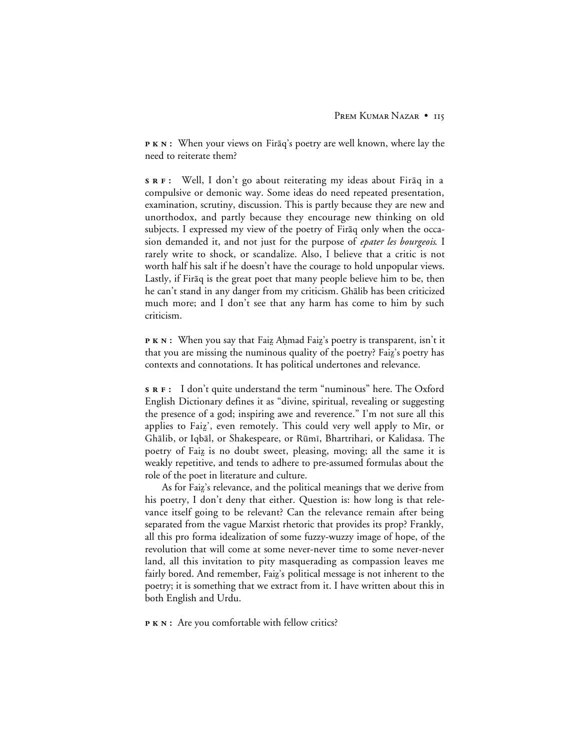**PKN:** When your views on Firaq's poetry are well known, where lay the need to reiterate them?

**s R F**: Well, I don't go about reiterating my ideas about Firaq in a compulsive or demonic way. Some ideas do need repeated presentation, examination, scrutiny, discussion. This is partly because they are new and unorthodox, and partly because they encourage new thinking on old subjects. I expressed my view of the poetry of Firaq only when the occasion demanded it, and not just for the purpose of *epater les bourgeois*. I rarely write to shock, or scandalize. Also, I believe that a critic is not worth half his salt if he doesn't have the courage to hold unpopular views. Lastly, if Fir<sub>aq</sub> is the great poet that many people believe him to be, then he can't stand in any danger from my criticism. Ghālib has been criticized much more; and I don't see that any harm has come to him by such criticism.

**P K N :** When you say that Faiz Ahmad Faiz's poetry is transparent, isn't it that you are missing the numinous quality of the poetry? Faiz's poetry has contexts and connotations. It has political undertones and relevance.

**:** I don't quite understand the term "numinous" here. The Oxford English Dictionary defines it as "divine, spiritual, revealing or suggesting the presence of a god; inspiring awe and reverence." I'm not sure all this applies to Faiz', even remotely. This could very well apply to Mir, or Ghālib, or Iqbāl, or Shakespeare, or Rūmī, Bhartrihari, or Kalidasa. The poetry of Faiz is no doubt sweet, pleasing, moving; all the same it is weakly repetitive, and tends to adhere to pre-assumed formulas about the role of the poet in literature and culture.

As for Faiz's relevance, and the political meanings that we derive from his poetry, I don't deny that either. Question is: how long is that relevance itself going to be relevant? Can the relevance remain after being separated from the vague Marxist rhetoric that provides its prop? Frankly, all this pro forma idealization of some fuzzy-wuzzy image of hope, of the revolution that will come at some never-never time to some never-never land, all this invitation to pity masquerading as compassion leaves me fairly bored. And remember, Faiz's political message is not inherent to the poetry; it is something that we extract from it. I have written about this in both English and Urdu.

**P K N :** Are you comfortable with fellow critics?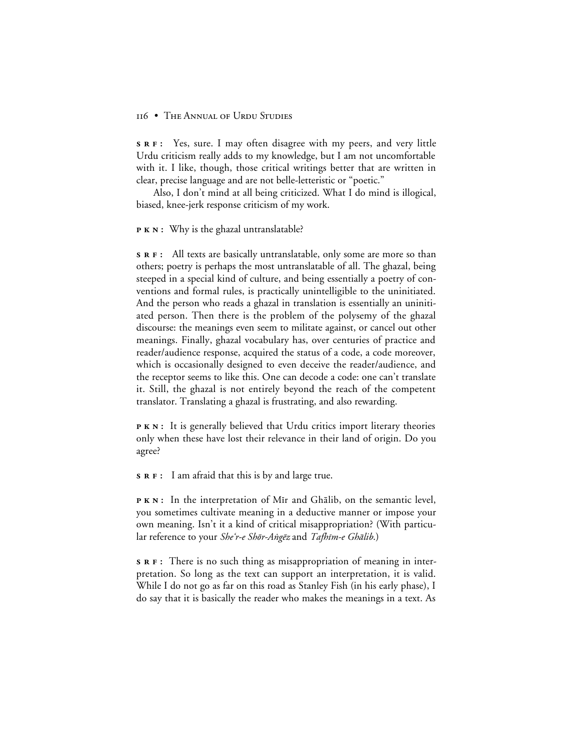**:** Yes, sure. I may often disagree with my peers, and very little Urdu criticism really adds to my knowledge, but I am not uncomfortable with it. I like, though, those critical writings better that are written in clear, precise language and are not belle-letteristic or "poetic."

Also, I don't mind at all being criticized. What I do mind is illogical, biased, knee-jerk response criticism of my work.

#### **P K N :** Why is the ghazal untranslatable?

**:** All texts are basically untranslatable, only some are more so than others; poetry is perhaps the most untranslatable of all. The ghazal, being steeped in a special kind of culture, and being essentially a poetry of conventions and formal rules, is practically unintelligible to the uninitiated. And the person who reads a ghazal in translation is essentially an uninitiated person. Then there is the problem of the polysemy of the ghazal discourse: the meanings even seem to militate against, or cancel out other meanings. Finally, ghazal vocabulary has, over centuries of practice and reader/audience response, acquired the status of a code, a code moreover, which is occasionally designed to even deceive the reader/audience, and the receptor seems to like this. One can decode a code: one can't translate it. Still, the ghazal is not entirely beyond the reach of the competent translator. Translating a ghazal is frustrating, and also rewarding.

**PKN:** It is generally believed that Urdu critics import literary theories only when these have lost their relevance in their land of origin. Do you agree?

**:** I am afraid that this is by and large true.

**PKN:** In the interpretation of Mir and Ghalib, on the semantic level, you sometimes cultivate meaning in a deductive manner or impose your own meaning. Isn't it a kind of critical misappropriation? (With particular reference to your She'r-e Shōr-Angēz and Tafhīm-e Ghālib.)

**:** There is no such thing as misappropriation of meaning in interpretation. So long as the text can support an interpretation, it is valid. While I do not go as far on this road as Stanley Fish (in his early phase), I do say that it is basically the reader who makes the meanings in a text. As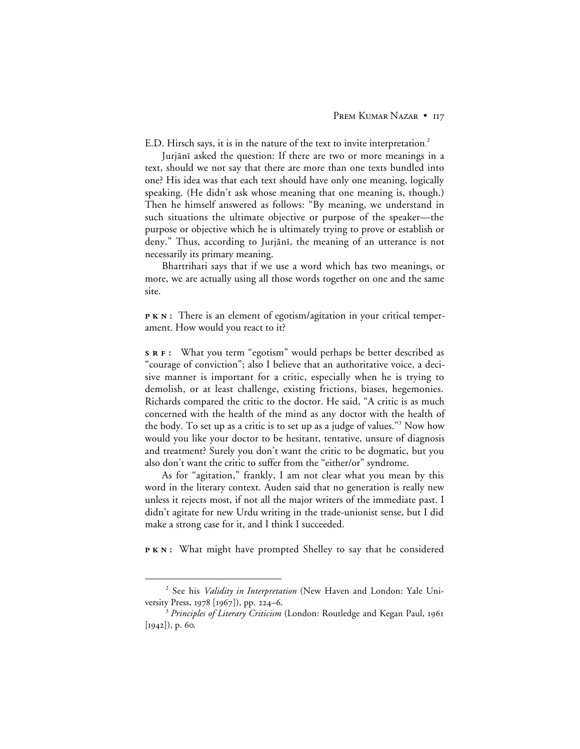E.D. Hirsch says, it is in the nature of the text to invite interpretation. $^2$ 

Jurjānī asked the question: If there are two or more meanings in a text, should we not say that there are more than one texts bundled into one? His idea was that each text should have only one meaning, logically speaking. (He didn't ask whose meaning that one meaning is, though.) Then he himself answered as follows: "By meaning, we understand in such situations the ultimate objective or purpose of the speaker—the purpose or objective which he is ultimately trying to prove or establish or deny." Thus, according to Jurjānī, the meaning of an utterance is not necessarily its primary meaning.

Bhartrihari says that if we use a word which has two meanings, or more, we are actually using all those words together on one and the same site.

**PKN:** There is an element of egotism/agitation in your critical temperament. How would you react to it?

**:** What you term "egotism" would perhaps be better described as "courage of conviction"; also I believe that an authoritative voice, a decisive manner is important for a critic, especially when he is trying to demolish, or at least challenge, existing frictions, biases, hegemonies. Richards compared the critic to the doctor. He said, "A critic is as much concerned with the health of the mind as any doctor with the health of the body. To set up as a critic is to set up as a judge of values."<sup>3</sup> Now how would you like your doctor to be hesitant, tentative, unsure of diagnosis and treatment? Surely you don't want the critic to be dogmatic, but you also don't want the critic to suffer from the "either/or" syndrome.

As for "agitation," frankly, I am not clear what you mean by this word in the literary context. Auden said that no generation is really new unless it rejects most, if not all the major writers of the immediate past. I didn't agitate for new Urdu writing in the trade-unionist sense, but I did make a strong case for it, and I think I succeeded.

**PKN:** What might have prompted Shelley to say that he considered

 <sup>2</sup> See his *Validity in Interpretation* (New Haven and London: Yale University Press,  $1978$  [ $1967$ ]), pp. 224–6.

<sup>&</sup>lt;sup>3</sup> Principles of Literary Criticism (London: Routledge and Kegan Paul, 1961  $[1942]$ , p. 60.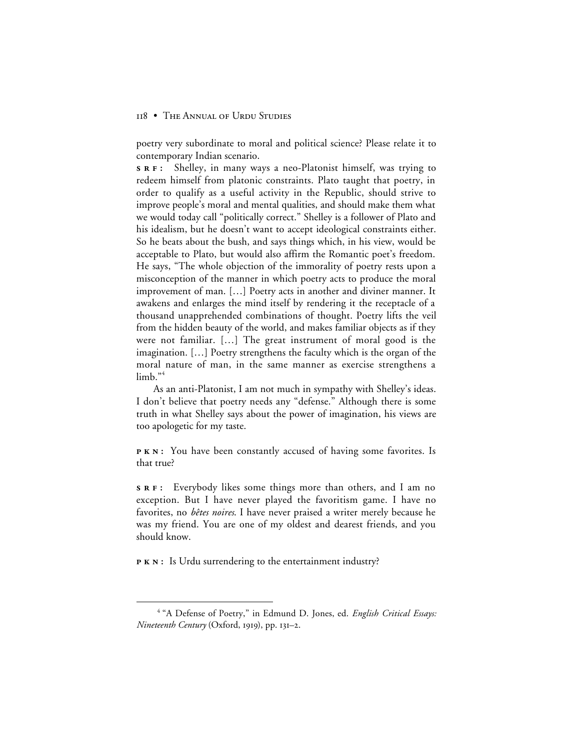poetry very subordinate to moral and political science? Please relate it to contemporary Indian scenario.

**:** Shelley, in many ways a neo-Platonist himself, was trying to redeem himself from platonic constraints. Plato taught that poetry, in order to qualify as a useful activity in the Republic, should strive to improve people's moral and mental qualities, and should make them what we would today call "politically correct." Shelley is a follower of Plato and his idealism, but he doesn't want to accept ideological constraints either. So he beats about the bush, and says things which, in his view, would be acceptable to Plato, but would also affirm the Romantic poet's freedom. He says, "The whole objection of the immorality of poetry rests upon a misconception of the manner in which poetry acts to produce the moral improvement of man. […] Poetry acts in another and diviner manner. It awakens and enlarges the mind itself by rendering it the receptacle of a thousand unapprehended combinations of thought. Poetry lifts the veil from the hidden beauty of the world, and makes familiar objects as if they were not familiar. […] The great instrument of moral good is the imagination. […] Poetry strengthens the faculty which is the organ of the moral nature of man, in the same manner as exercise strengthens a  $\lim_{h \to 4}$ 

As an anti-Platonist, I am not much in sympathy with Shelley's ideas. I don't believe that poetry needs any "defense." Although there is some truth in what Shelley says about the power of imagination, his views are too apologetic for my taste.

**PKN:** You have been constantly accused of having some favorites. Is that true?

**:** Everybody likes some things more than others, and I am no exception. But I have never played the favoritism game. I have no favorites, no *bêtes noires*. I have never praised a writer merely because he was my friend. You are one of my oldest and dearest friends, and you should know.

**PKN:** Is Urdu surrendering to the entertainment industry?

 <sup>4</sup> "A Defense of Poetry," in Edmund D. Jones, ed. *English Critical Essays: Nineteenth Century* (Oxford, 1919), pp. 131-2.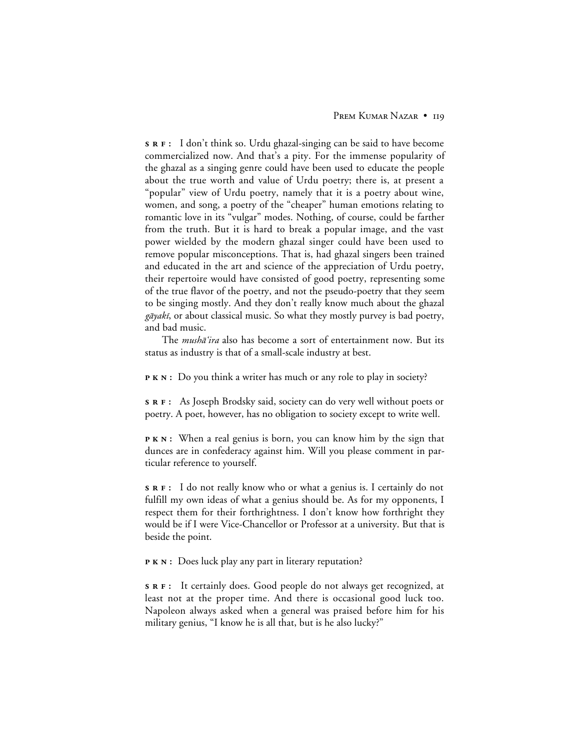**:** I don't think so. Urdu ghazal-singing can be said to have become commercialized now. And that's a pity. For the immense popularity of the ghazal as a singing genre could have been used to educate the people about the true worth and value of Urdu poetry; there is, at present a "popular" view of Urdu poetry, namely that it is a poetry about wine, women, and song, a poetry of the "cheaper" human emotions relating to romantic love in its "vulgar" modes. Nothing, of course, could be farther from the truth. But it is hard to break a popular image, and the vast power wielded by the modern ghazal singer could have been used to remove popular misconceptions. That is, had ghazal singers been trained and educated in the art and science of the appreciation of Urdu poetry, their repertoire would have consisted of good poetry, representing some of the true flavor of the poetry, and not the pseudo-poetry that they seem to be singing mostly. And they don't really know much about the ghazal  $q\bar{q}yak\bar{i}$ , or about classical music. So what they mostly purvey is bad poetry, and bad music.

The *mushā'ira* also has become a sort of entertainment now. But its status as industry is that of a small-scale industry at best.

**P K N** : Do you think a writer has much or any role to play in society?

**:** As Joseph Brodsky said, society can do very well without poets or poetry. A poet, however, has no obligation to society except to write well.

**PKN:** When a real genius is born, you can know him by the sign that dunces are in confederacy against him. Will you please comment in particular reference to yourself.

**:** I do not really know who or what a genius is. I certainly do not fulfill my own ideas of what a genius should be. As for my opponents, I respect them for their forthrightness. I don't know how forthright they would be if I were Vice-Chancellor or Professor at a university. But that is beside the point.

**P K N**: Does luck play any part in literary reputation?

**:** It certainly does. Good people do not always get recognized, at least not at the proper time. And there is occasional good luck too. Napoleon always asked when a general was praised before him for his military genius, "I know he is all that, but is he also lucky?"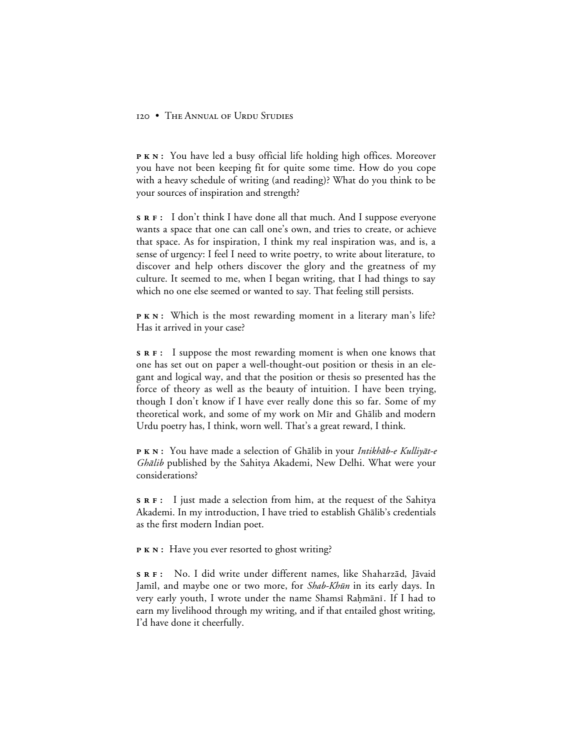**PKN:** You have led a busy official life holding high offices. Moreover you have not been keeping fit for quite some time. How do you cope with a heavy schedule of writing (and reading)? What do you think to be your sources of inspiration and strength?

**:** I don't think I have done all that much. And I suppose everyone wants a space that one can call one's own, and tries to create, or achieve that space. As for inspiration, I think my real inspiration was, and is, a sense of urgency: I feel I need to write poetry, to write about literature, to discover and help others discover the glory and the greatness of my culture. It seemed to me, when I began writing, that I had things to say which no one else seemed or wanted to say. That feeling still persists.

**PKN:** Which is the most rewarding moment in a literary man's life? Has it arrived in your case?

**:** I suppose the most rewarding moment is when one knows that one has set out on paper a well-thought-out position or thesis in an elegant and logical way, and that the position or thesis so presented has the force of theory as well as the beauty of intuition. I have been trying, though I don't know if I have ever really done this so far. Some of my theoretical work, and some of my work on Mir and Ghālib and modern Urdu poetry has, I think, worn well. That's a great reward, I think.

**PKN:** You have made a selection of Ghālib in your Intikhāb-e Kulliyāt-e Ghālib published by the Sahitya Akademi, New Delhi. What were your considerations?

**:** I just made a selection from him, at the request of the Sahitya Akademi. In my introduction, I have tried to establish Ghālib's credentials as the first modern Indian poet.

**P K N :** Have you ever resorted to ghost writing?

**s R F**: No. I did write under different names, like Shaharzād, Jāvaid Jamīl, and maybe one or two more, for *Shab-Khūn* in its early days. In very early youth, I wrote under the name Shamsī Rahmānī. If I had to earn my livelihood through my writing, and if that entailed ghost writing, I'd have done it cheerfully.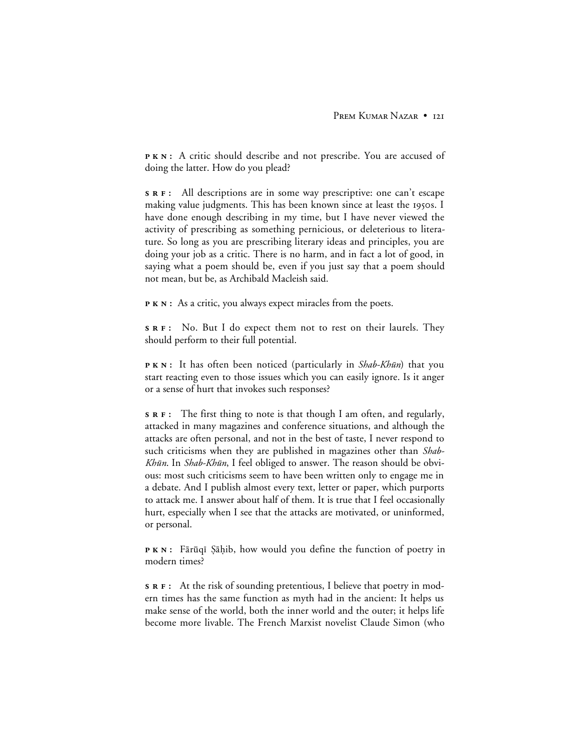PKN: A critic should describe and not prescribe. You are accused of doing the latter. How do you plead?

**:** All descriptions are in some way prescriptive: one can't escape making value judgments. This has been known since at least the 1950s. I have done enough describing in my time, but I have never viewed the activity of prescribing as something pernicious, or deleterious to literature. So long as you are prescribing literary ideas and principles, you are doing your job as a critic. There is no harm, and in fact a lot of good, in saying what a poem should be, even if you just say that a poem should not mean, but be, as Archibald Macleish said.

**P K N :** As a critic, you always expect miracles from the poets.

**s R F**: No. But I do expect them not to rest on their laurels. They should perform to their full potential.

**PKN:** It has often been noticed (particularly in *Shab-Khūn*) that you start reacting even to those issues which you can easily ignore. Is it anger or a sense of hurt that invokes such responses?

**:** The first thing to note is that though I am often, and regularly, attacked in many magazines and conference situations, and although the attacks are often personal, and not in the best of taste, I never respond to such criticisms when they are published in magazines other than *Shab-*Khūn. In Shab-Khūn, I feel obliged to answer. The reason should be obvious: most such criticisms seem to have been written only to engage me in a debate. And I publish almost every text, letter or paper, which purports to attack me. I answer about half of them. It is true that I feel occasionally hurt, especially when I see that the attacks are motivated, or uninformed, or personal.

**PKN:** Fārūqī Şāḥib, how would you define the function of poetry in modern times?

**:** At the risk of sounding pretentious, I believe that poetry in modern times has the same function as myth had in the ancient: It helps us make sense of the world, both the inner world and the outer; it helps life become more livable. The French Marxist novelist Claude Simon (who